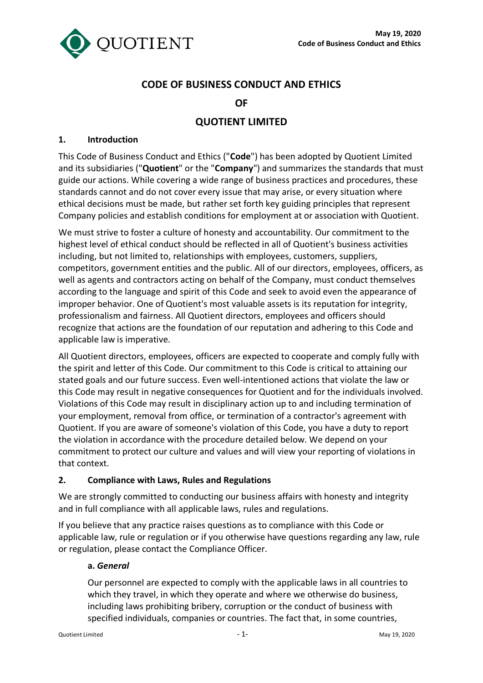

# **CODE OF BUSINESS CONDUCT AND ETHICS**

### **OF**

# **QUOTIENT LIMITED**

#### **1. Introduction**

This Code of Business Conduct and Ethics ("**Code**") has been adopted by Quotient Limited and its subsidiaries ("**Quotient**" or the "**Company**") and summarizes the standards that must guide our actions. While covering a wide range of business practices and procedures, these standards cannot and do not cover every issue that may arise, or every situation where ethical decisions must be made, but rather set forth key guiding principles that represent Company policies and establish conditions for employment at or association with Quotient.

We must strive to foster a culture of honesty and accountability. Our commitment to the highest level of ethical conduct should be reflected in all of Quotient's business activities including, but not limited to, relationships with employees, customers, suppliers, competitors, government entities and the public. All of our directors, employees, officers, as well as agents and contractors acting on behalf of the Company, must conduct themselves according to the language and spirit of this Code and seek to avoid even the appearance of improper behavior. One of Quotient's most valuable assets is its reputation for integrity, professionalism and fairness. All Quotient directors, employees and officers should recognize that actions are the foundation of our reputation and adhering to this Code and applicable law is imperative.

All Quotient directors, employees, officers are expected to cooperate and comply fully with the spirit and letter of this Code. Our commitment to this Code is critical to attaining our stated goals and our future success. Even well-intentioned actions that violate the law or this Code may result in negative consequences for Quotient and for the individuals involved. Violations of this Code may result in disciplinary action up to and including termination of your employment, removal from office, or termination of a contractor's agreement with Quotient. If you are aware of someone's violation of this Code, you have a duty to report the violation in accordance with the procedure detailed below. We depend on your commitment to protect our culture and values and will view your reporting of violations in that context.

### **2. Compliance with Laws, Rules and Regulations**

We are strongly committed to conducting our business affairs with honesty and integrity and in full compliance with all applicable laws, rules and regulations.

If you believe that any practice raises questions as to compliance with this Code or applicable law, rule or regulation or if you otherwise have questions regarding any law, rule or regulation, please contact the Compliance Officer.

#### **a.** *General*

Our personnel are expected to comply with the applicable laws in all countries to which they travel, in which they operate and where we otherwise do business, including laws prohibiting bribery, corruption or the conduct of business with specified individuals, companies or countries. The fact that, in some countries,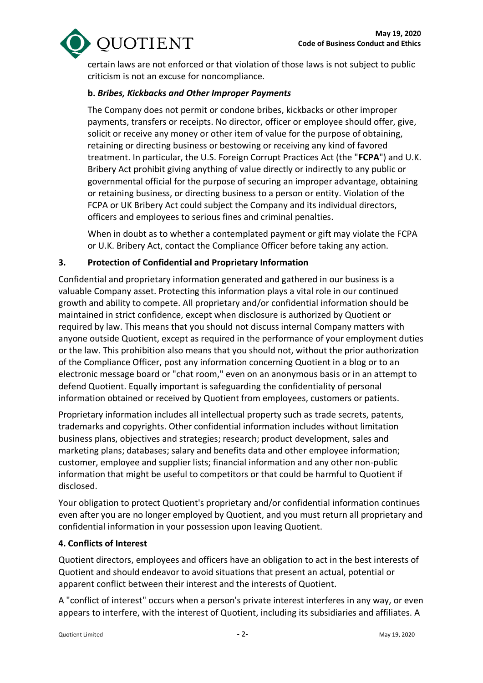

certain laws are not enforced or that violation of those laws is not subject to public criticism is not an excuse for noncompliance.

### **b.** *Bribes, Kickbacks and Other Improper Payments*

The Company does not permit or condone bribes, kickbacks or other improper payments, transfers or receipts. No director, officer or employee should offer, give, solicit or receive any money or other item of value for the purpose of obtaining, retaining or directing business or bestowing or receiving any kind of favored treatment. In particular, the U.S. Foreign Corrupt Practices Act (the "**FCPA**") and U.K. Bribery Act prohibit giving anything of value directly or indirectly to any public or governmental official for the purpose of securing an improper advantage, obtaining or retaining business, or directing business to a person or entity. Violation of the FCPA or UK Bribery Act could subject the Company and its individual directors, officers and employees to serious fines and criminal penalties.

When in doubt as to whether a contemplated payment or gift may violate the FCPA or U.K. Bribery Act, contact the Compliance Officer before taking any action.

## **3. Protection of Confidential and Proprietary Information**

Confidential and proprietary information generated and gathered in our business is a valuable Company asset. Protecting this information plays a vital role in our continued growth and ability to compete. All proprietary and/or confidential information should be maintained in strict confidence, except when disclosure is authorized by Quotient or required by law. This means that you should not discuss internal Company matters with anyone outside Quotient, except as required in the performance of your employment duties or the law. This prohibition also means that you should not, without the prior authorization of the Compliance Officer, post any information concerning Quotient in a blog or to an electronic message board or "chat room," even on an anonymous basis or in an attempt to defend Quotient. Equally important is safeguarding the confidentiality of personal information obtained or received by Quotient from employees, customers or patients.

Proprietary information includes all intellectual property such as trade secrets, patents, trademarks and copyrights. Other confidential information includes without limitation business plans, objectives and strategies; research; product development, sales and marketing plans; databases; salary and benefits data and other employee information; customer, employee and supplier lists; financial information and any other non-public information that might be useful to competitors or that could be harmful to Quotient if disclosed.

Your obligation to protect Quotient's proprietary and/or confidential information continues even after you are no longer employed by Quotient, and you must return all proprietary and confidential information in your possession upon leaving Quotient.

### **4. Conflicts of Interest**

Quotient directors, employees and officers have an obligation to act in the best interests of Quotient and should endeavor to avoid situations that present an actual, potential or apparent conflict between their interest and the interests of Quotient.

A "conflict of interest" occurs when a person's private interest interferes in any way, or even appears to interfere, with the interest of Quotient, including its subsidiaries and affiliates. A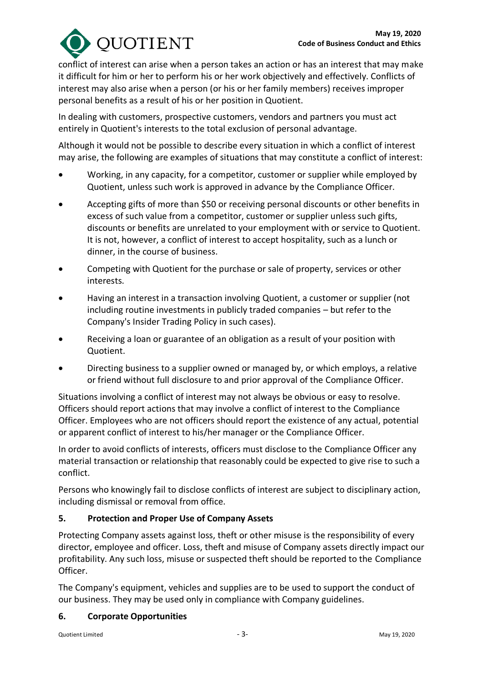

conflict of interest can arise when a person takes an action or has an interest that may make it difficult for him or her to perform his or her work objectively and effectively. Conflicts of interest may also arise when a person (or his or her family members) receives improper personal benefits as a result of his or her position in Quotient.

In dealing with customers, prospective customers, vendors and partners you must act entirely in Quotient's interests to the total exclusion of personal advantage.

Although it would not be possible to describe every situation in which a conflict of interest may arise, the following are examples of situations that may constitute a conflict of interest:

- Working, in any capacity, for a competitor, customer or supplier while employed by Quotient, unless such work is approved in advance by the Compliance Officer.
- Accepting gifts of more than \$50 or receiving personal discounts or other benefits in excess of such value from a competitor, customer or supplier unless such gifts, discounts or benefits are unrelated to your employment with or service to Quotient. It is not, however, a conflict of interest to accept hospitality, such as a lunch or dinner, in the course of business.
- Competing with Quotient for the purchase or sale of property, services or other interests.
- Having an interest in a transaction involving Quotient, a customer or supplier (not including routine investments in publicly traded companies – but refer to the Company's Insider Trading Policy in such cases).
- Receiving a loan or guarantee of an obligation as a result of your position with Quotient.
- Directing business to a supplier owned or managed by, or which employs, a relative or friend without full disclosure to and prior approval of the Compliance Officer.

Situations involving a conflict of interest may not always be obvious or easy to resolve. Officers should report actions that may involve a conflict of interest to the Compliance Officer. Employees who are not officers should report the existence of any actual, potential or apparent conflict of interest to his/her manager or the Compliance Officer.

In order to avoid conflicts of interests, officers must disclose to the Compliance Officer any material transaction or relationship that reasonably could be expected to give rise to such a conflict.

Persons who knowingly fail to disclose conflicts of interest are subject to disciplinary action, including dismissal or removal from office.

# **5. Protection and Proper Use of Company Assets**

Protecting Company assets against loss, theft or other misuse is the responsibility of every director, employee and officer. Loss, theft and misuse of Company assets directly impact our profitability. Any such loss, misuse or suspected theft should be reported to the Compliance Officer.

The Company's equipment, vehicles and supplies are to be used to support the conduct of our business. They may be used only in compliance with Company guidelines.

### **6. Corporate Opportunities**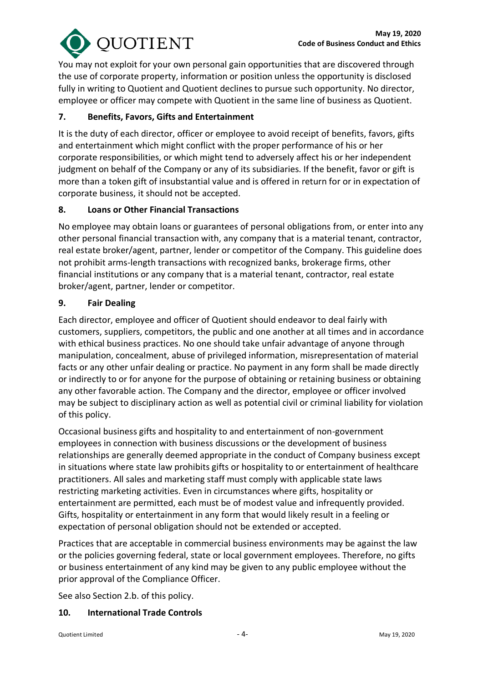

You may not exploit for your own personal gain opportunities that are discovered through the use of corporate property, information or position unless the opportunity is disclosed fully in writing to Quotient and Quotient declines to pursue such opportunity. No director, employee or officer may compete with Quotient in the same line of business as Quotient.

### **7. Benefits, Favors, Gifts and Entertainment**

It is the duty of each director, officer or employee to avoid receipt of benefits, favors, gifts and entertainment which might conflict with the proper performance of his or her corporate responsibilities, or which might tend to adversely affect his or her independent judgment on behalf of the Company or any of its subsidiaries. If the benefit, favor or gift is more than a token gift of insubstantial value and is offered in return for or in expectation of corporate business, it should not be accepted.

### **8. Loans or Other Financial Transactions**

No employee may obtain loans or guarantees of personal obligations from, or enter into any other personal financial transaction with, any company that is a material tenant, contractor, real estate broker/agent, partner, lender or competitor of the Company. This guideline does not prohibit arms-length transactions with recognized banks, brokerage firms, other financial institutions or any company that is a material tenant, contractor, real estate broker/agent, partner, lender or competitor.

#### **9. Fair Dealing**

Each director, employee and officer of Quotient should endeavor to deal fairly with customers, suppliers, competitors, the public and one another at all times and in accordance with ethical business practices. No one should take unfair advantage of anyone through manipulation, concealment, abuse of privileged information, misrepresentation of material facts or any other unfair dealing or practice. No payment in any form shall be made directly or indirectly to or for anyone for the purpose of obtaining or retaining business or obtaining any other favorable action. The Company and the director, employee or officer involved may be subject to disciplinary action as well as potential civil or criminal liability for violation of this policy.

Occasional business gifts and hospitality to and entertainment of non-government employees in connection with business discussions or the development of business relationships are generally deemed appropriate in the conduct of Company business except in situations where state law prohibits gifts or hospitality to or entertainment of healthcare practitioners. All sales and marketing staff must comply with applicable state laws restricting marketing activities. Even in circumstances where gifts, hospitality or entertainment are permitted, each must be of modest value and infrequently provided. Gifts, hospitality or entertainment in any form that would likely result in a feeling or expectation of personal obligation should not be extended or accepted.

Practices that are acceptable in commercial business environments may be against the law or the policies governing federal, state or local government employees. Therefore, no gifts or business entertainment of any kind may be given to any public employee without the prior approval of the Compliance Officer.

See also Section 2.b. of this policy.

### **10. International Trade Controls**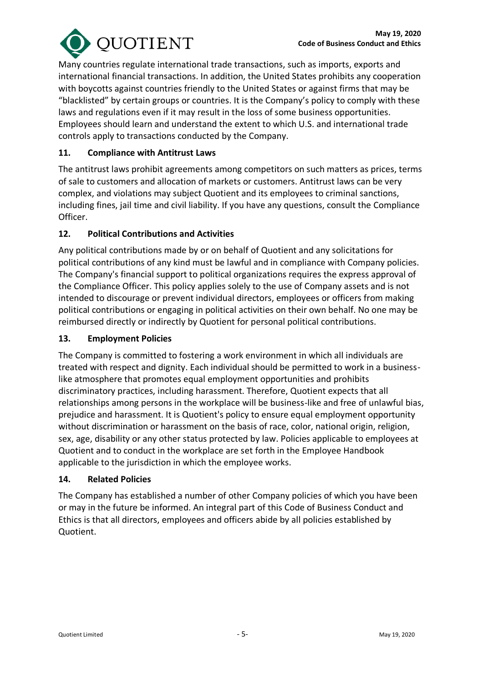

Many countries regulate international trade transactions, such as imports, exports and international financial transactions. In addition, the United States prohibits any cooperation with boycotts against countries friendly to the United States or against firms that may be "blacklisted" by certain groups or countries. It is the Company's policy to comply with these laws and regulations even if it may result in the loss of some business opportunities. Employees should learn and understand the extent to which U.S. and international trade controls apply to transactions conducted by the Company.

### **11. Compliance with Antitrust Laws**

The antitrust laws prohibit agreements among competitors on such matters as prices, terms of sale to customers and allocation of markets or customers. Antitrust laws can be very complex, and violations may subject Quotient and its employees to criminal sanctions, including fines, jail time and civil liability. If you have any questions, consult the Compliance Officer.

### **12. Political Contributions and Activities**

Any political contributions made by or on behalf of Quotient and any solicitations for political contributions of any kind must be lawful and in compliance with Company policies. The Company's financial support to political organizations requires the express approval of the Compliance Officer. This policy applies solely to the use of Company assets and is not intended to discourage or prevent individual directors, employees or officers from making political contributions or engaging in political activities on their own behalf. No one may be reimbursed directly or indirectly by Quotient for personal political contributions.

#### **13. Employment Policies**

The Company is committed to fostering a work environment in which all individuals are treated with respect and dignity. Each individual should be permitted to work in a businesslike atmosphere that promotes equal employment opportunities and prohibits discriminatory practices, including harassment. Therefore, Quotient expects that all relationships among persons in the workplace will be business-like and free of unlawful bias, prejudice and harassment. It is Quotient's policy to ensure equal employment opportunity without discrimination or harassment on the basis of race, color, national origin, religion, sex, age, disability or any other status protected by law. Policies applicable to employees at Quotient and to conduct in the workplace are set forth in the Employee Handbook applicable to the jurisdiction in which the employee works.

#### **14. Related Policies**

The Company has established a number of other Company policies of which you have been or may in the future be informed. An integral part of this Code of Business Conduct and Ethics is that all directors, employees and officers abide by all policies established by Quotient.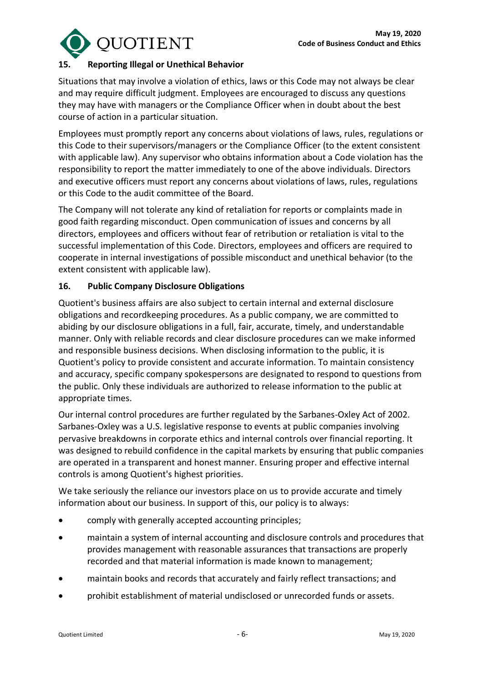

### **15. Reporting Illegal or Unethical Behavior**

Situations that may involve a violation of ethics, laws or this Code may not always be clear and may require difficult judgment. Employees are encouraged to discuss any questions they may have with managers or the Compliance Officer when in doubt about the best course of action in a particular situation.

Employees must promptly report any concerns about violations of laws, rules, regulations or this Code to their supervisors/managers or the Compliance Officer (to the extent consistent with applicable law). Any supervisor who obtains information about a Code violation has the responsibility to report the matter immediately to one of the above individuals. Directors and executive officers must report any concerns about violations of laws, rules, regulations or this Code to the audit committee of the Board.

The Company will not tolerate any kind of retaliation for reports or complaints made in good faith regarding misconduct. Open communication of issues and concerns by all directors, employees and officers without fear of retribution or retaliation is vital to the successful implementation of this Code. Directors, employees and officers are required to cooperate in internal investigations of possible misconduct and unethical behavior (to the extent consistent with applicable law).

## **16. Public Company Disclosure Obligations**

Quotient's business affairs are also subject to certain internal and external disclosure obligations and recordkeeping procedures. As a public company, we are committed to abiding by our disclosure obligations in a full, fair, accurate, timely, and understandable manner. Only with reliable records and clear disclosure procedures can we make informed and responsible business decisions. When disclosing information to the public, it is Quotient's policy to provide consistent and accurate information. To maintain consistency and accuracy, specific company spokespersons are designated to respond to questions from the public. Only these individuals are authorized to release information to the public at appropriate times.

Our internal control procedures are further regulated by the Sarbanes-Oxley Act of 2002. Sarbanes-Oxley was a U.S. legislative response to events at public companies involving pervasive breakdowns in corporate ethics and internal controls over financial reporting. It was designed to rebuild confidence in the capital markets by ensuring that public companies are operated in a transparent and honest manner. Ensuring proper and effective internal controls is among Quotient's highest priorities.

We take seriously the reliance our investors place on us to provide accurate and timely information about our business. In support of this, our policy is to always:

- comply with generally accepted accounting principles;
- maintain a system of internal accounting and disclosure controls and procedures that provides management with reasonable assurances that transactions are properly recorded and that material information is made known to management;
- maintain books and records that accurately and fairly reflect transactions; and
- prohibit establishment of material undisclosed or unrecorded funds or assets.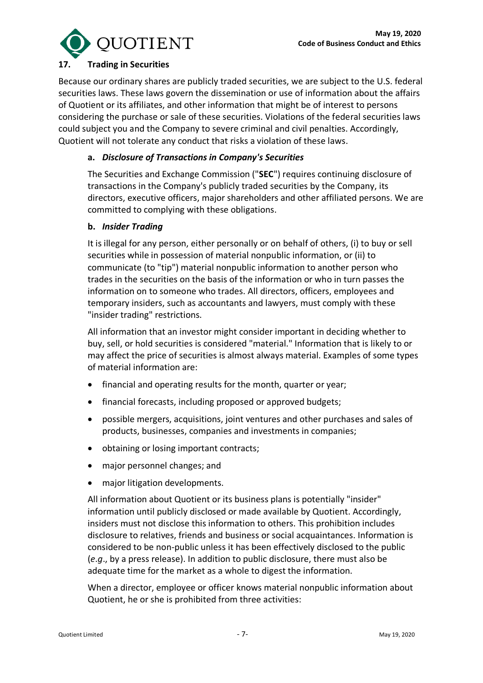

#### **17. Trading in Securities**

Because our ordinary shares are publicly traded securities, we are subject to the U.S. federal securities laws. These laws govern the dissemination or use of information about the affairs of Quotient or its affiliates, and other information that might be of interest to persons considering the purchase or sale of these securities. Violations of the federal securities laws could subject you and the Company to severe criminal and civil penalties. Accordingly, Quotient will not tolerate any conduct that risks a violation of these laws.

### **a.** *Disclosure of Transactions in Company's Securities*

The Securities and Exchange Commission ("**SEC**") requires continuing disclosure of transactions in the Company's publicly traded securities by the Company, its directors, executive officers, major shareholders and other affiliated persons. We are committed to complying with these obligations.

#### **b.** *Insider Trading*

It is illegal for any person, either personally or on behalf of others, (i) to buy or sell securities while in possession of material nonpublic information, or (ii) to communicate (to "tip") material nonpublic information to another person who trades in the securities on the basis of the information or who in turn passes the information on to someone who trades. All directors, officers, employees and temporary insiders, such as accountants and lawyers, must comply with these "insider trading" restrictions.

All information that an investor might consider important in deciding whether to buy, sell, or hold securities is considered "material." Information that is likely to or may affect the price of securities is almost always material. Examples of some types of material information are:

- financial and operating results for the month, quarter or year;
- financial forecasts, including proposed or approved budgets;
- possible mergers, acquisitions, joint ventures and other purchases and sales of products, businesses, companies and investments in companies;
- obtaining or losing important contracts;
- major personnel changes; and
- major litigation developments.

All information about Quotient or its business plans is potentially "insider" information until publicly disclosed or made available by Quotient. Accordingly, insiders must not disclose this information to others. This prohibition includes disclosure to relatives, friends and business or social acquaintances. Information is considered to be non-public unless it has been effectively disclosed to the public (*e*.*g*., by a press release). In addition to public disclosure, there must also be adequate time for the market as a whole to digest the information.

When a director, employee or officer knows material nonpublic information about Quotient, he or she is prohibited from three activities: